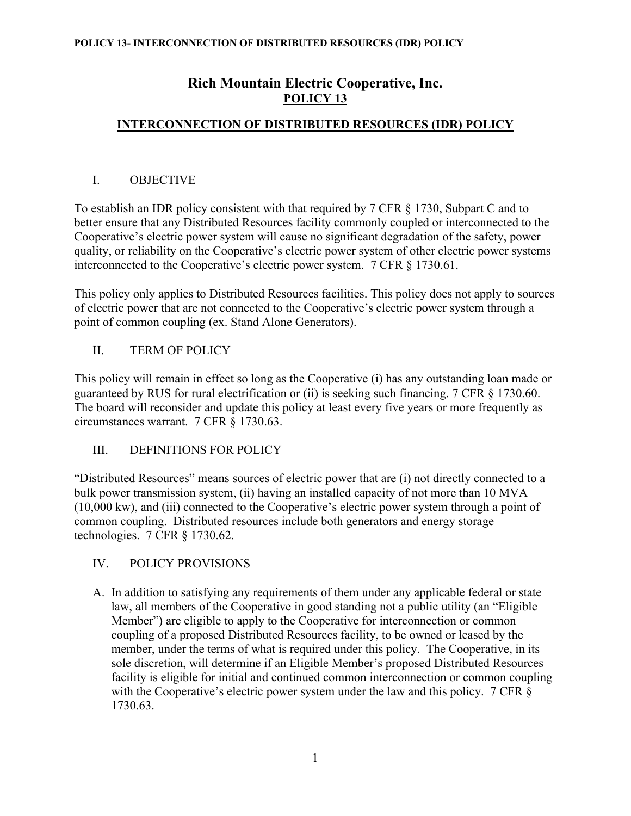# **Rich Mountain Electric Cooperative, Inc. POLICY 13**

# **INTERCONNECTION OF DISTRIBUTED RESOURCES (IDR) POLICY**

# I. OBJECTIVE

To establish an IDR policy consistent with that required by 7 CFR § 1730, Subpart C and to better ensure that any Distributed Resources facility commonly coupled or interconnected to the Cooperative's electric power system will cause no significant degradation of the safety, power quality, or reliability on the Cooperative's electric power system of other electric power systems interconnected to the Cooperative's electric power system. 7 CFR § 1730.61.

This policy only applies to Distributed Resources facilities. This policy does not apply to sources of electric power that are not connected to the Cooperative's electric power system through a point of common coupling (ex. Stand Alone Generators).

# II. TERM OF POLICY

This policy will remain in effect so long as the Cooperative (i) has any outstanding loan made or guaranteed by RUS for rural electrification or (ii) is seeking such financing. 7 CFR § 1730.60. The board will reconsider and update this policy at least every five years or more frequently as circumstances warrant. 7 CFR § 1730.63.

# III. DEFINITIONS FOR POLICY

"Distributed Resources" means sources of electric power that are (i) not directly connected to a bulk power transmission system, (ii) having an installed capacity of not more than 10 MVA (10,000 kw), and (iii) connected to the Cooperative's electric power system through a point of common coupling. Distributed resources include both generators and energy storage technologies. 7 CFR § 1730.62.

# IV. POLICY PROVISIONS

A. In addition to satisfying any requirements of them under any applicable federal or state law, all members of the Cooperative in good standing not a public utility (an "Eligible Member") are eligible to apply to the Cooperative for interconnection or common coupling of a proposed Distributed Resources facility, to be owned or leased by the member, under the terms of what is required under this policy. The Cooperative, in its sole discretion, will determine if an Eligible Member's proposed Distributed Resources facility is eligible for initial and continued common interconnection or common coupling with the Cooperative's electric power system under the law and this policy. 7 CFR § 1730.63.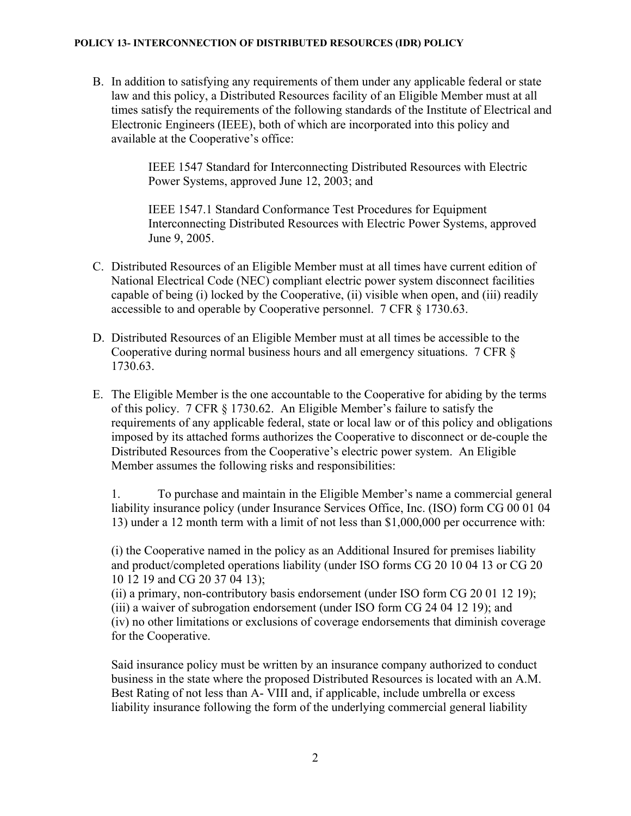B. In addition to satisfying any requirements of them under any applicable federal or state law and this policy, a Distributed Resources facility of an Eligible Member must at all times satisfy the requirements of the following standards of the Institute of Electrical and Electronic Engineers (IEEE), both of which are incorporated into this policy and available at the Cooperative's office:

> IEEE 1547 Standard for Interconnecting Distributed Resources with Electric Power Systems, approved June 12, 2003; and

IEEE 1547.1 Standard Conformance Test Procedures for Equipment Interconnecting Distributed Resources with Electric Power Systems, approved June 9, 2005.

- C. Distributed Resources of an Eligible Member must at all times have current edition of National Electrical Code (NEC) compliant electric power system disconnect facilities capable of being (i) locked by the Cooperative, (ii) visible when open, and (iii) readily accessible to and operable by Cooperative personnel. 7 CFR § 1730.63.
- D. Distributed Resources of an Eligible Member must at all times be accessible to the Cooperative during normal business hours and all emergency situations. 7 CFR § 1730.63.
- E. The Eligible Member is the one accountable to the Cooperative for abiding by the terms of this policy. 7 CFR § 1730.62. An Eligible Member's failure to satisfy the requirements of any applicable federal, state or local law or of this policy and obligations imposed by its attached forms authorizes the Cooperative to disconnect or de-couple the Distributed Resources from the Cooperative's electric power system. An Eligible Member assumes the following risks and responsibilities:

1. To purchase and maintain in the Eligible Member's name a commercial general liability insurance policy (under Insurance Services Office, Inc. (ISO) form CG 00 01 04 13) under a 12 month term with a limit of not less than \$1,000,000 per occurrence with:

(i) the Cooperative named in the policy as an Additional Insured for premises liability and product/completed operations liability (under ISO forms CG 20 10 04 13 or CG 20 10 12 19 and CG 20 37 04 13);

(ii) a primary, non-contributory basis endorsement (under ISO form CG 20 01 12 19); (iii) a waiver of subrogation endorsement (under ISO form CG 24 04 12 19); and (iv) no other limitations or exclusions of coverage endorsements that diminish coverage for the Cooperative.

Said insurance policy must be written by an insurance company authorized to conduct business in the state where the proposed Distributed Resources is located with an A.M. Best Rating of not less than A- VIII and, if applicable, include umbrella or excess liability insurance following the form of the underlying commercial general liability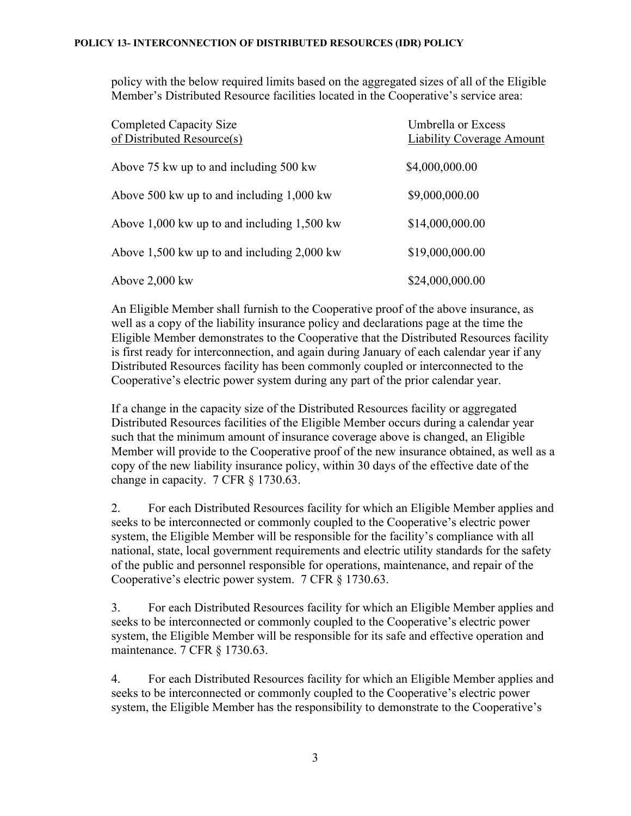policy with the below required limits based on the aggregated sizes of all of the Eligible Member's Distributed Resource facilities located in the Cooperative's service area:

| <b>Completed Capacity Size</b><br>of Distributed Resource(s) | Umbrella or Excess<br>Liability Coverage Amount |
|--------------------------------------------------------------|-------------------------------------------------|
| Above 75 kw up to and including 500 kw                       | \$4,000,000.00                                  |
| Above 500 kw up to and including $1,000$ kw                  | \$9,000,000.00                                  |
| Above $1,000$ kw up to and including $1,500$ kw              | \$14,000,000.00                                 |
| Above 1,500 kw up to and including $2,000$ kw                | \$19,000,000.00                                 |
| Above 2,000 kw                                               | \$24,000,000.00                                 |

An Eligible Member shall furnish to the Cooperative proof of the above insurance, as well as a copy of the liability insurance policy and declarations page at the time the Eligible Member demonstrates to the Cooperative that the Distributed Resources facility is first ready for interconnection, and again during January of each calendar year if any Distributed Resources facility has been commonly coupled or interconnected to the Cooperative's electric power system during any part of the prior calendar year.

If a change in the capacity size of the Distributed Resources facility or aggregated Distributed Resources facilities of the Eligible Member occurs during a calendar year such that the minimum amount of insurance coverage above is changed, an Eligible Member will provide to the Cooperative proof of the new insurance obtained, as well as a copy of the new liability insurance policy, within 30 days of the effective date of the change in capacity. 7 CFR § 1730.63.

2. For each Distributed Resources facility for which an Eligible Member applies and seeks to be interconnected or commonly coupled to the Cooperative's electric power system, the Eligible Member will be responsible for the facility's compliance with all national, state, local government requirements and electric utility standards for the safety of the public and personnel responsible for operations, maintenance, and repair of the Cooperative's electric power system. 7 CFR § 1730.63.

3. For each Distributed Resources facility for which an Eligible Member applies and seeks to be interconnected or commonly coupled to the Cooperative's electric power system, the Eligible Member will be responsible for its safe and effective operation and maintenance. 7 CFR § 1730.63.

4. For each Distributed Resources facility for which an Eligible Member applies and seeks to be interconnected or commonly coupled to the Cooperative's electric power system, the Eligible Member has the responsibility to demonstrate to the Cooperative's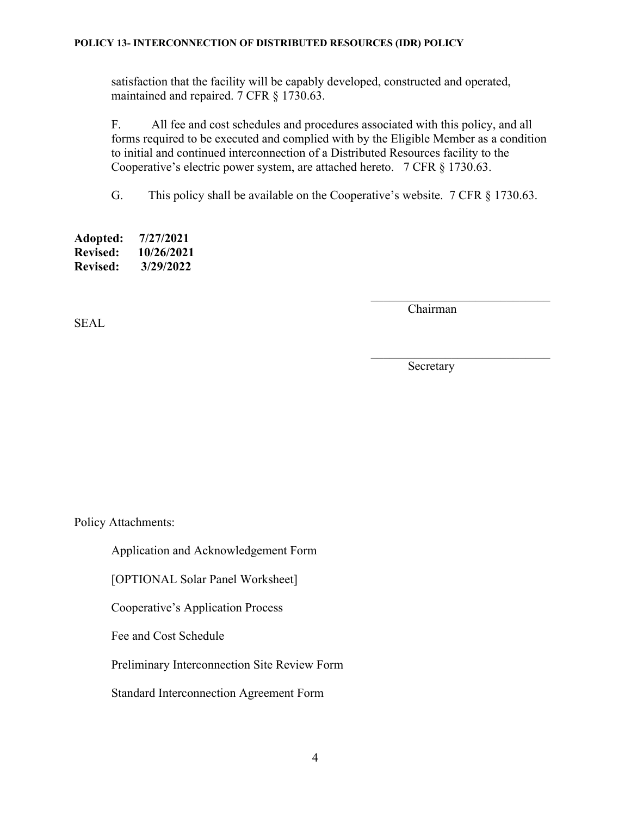satisfaction that the facility will be capably developed, constructed and operated, maintained and repaired. 7 CFR § 1730.63.

F. All fee and cost schedules and procedures associated with this policy, and all forms required to be executed and complied with by the Eligible Member as a condition to initial and continued interconnection of a Distributed Resources facility to the Cooperative's electric power system, are attached hereto. 7 CFR § 1730.63.

G. This policy shall be available on the Cooperative's website. 7 CFR § 1730.63.

**Adopted: 7/27/2021 Revised: 10/26/2021 Revised: 3/29/2022**

SEAL

Chairman

 $\overline{\phantom{a}}$  , and the set of the set of the set of the set of the set of the set of the set of the set of the set of the set of the set of the set of the set of the set of the set of the set of the set of the set of the s

Secretary

Policy Attachments:

Application and Acknowledgement Form

[OPTIONAL Solar Panel Worksheet]

Cooperative's Application Process

Fee and Cost Schedule

Preliminary Interconnection Site Review Form

Standard Interconnection Agreement Form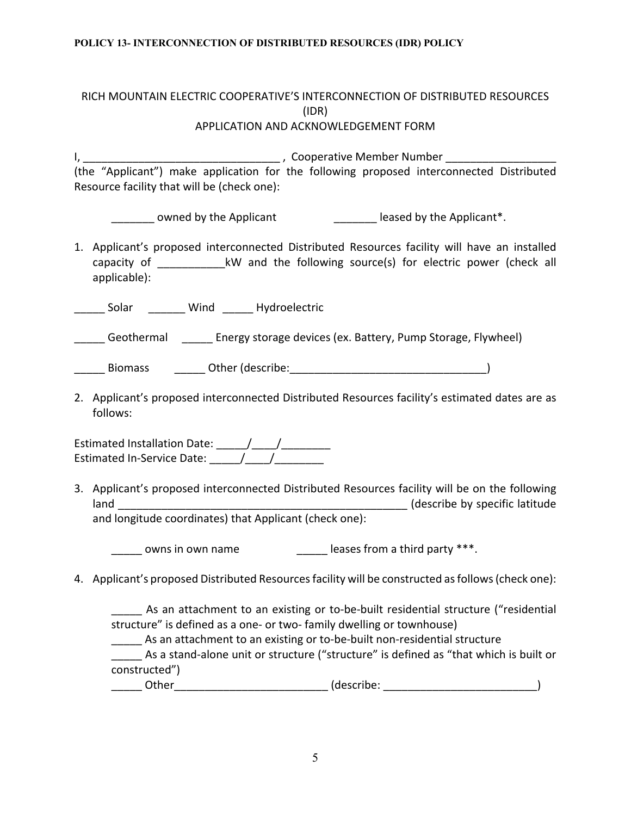## RICH MOUNTAIN ELECTRIC COOPERATIVE'S INTERCONNECTION OF DISTRIBUTED RESOURCES (IDR) APPLICATION AND ACKNOWLEDGEMENT FORM

I, \_\_\_\_\_\_\_\_\_\_\_\_\_\_\_\_\_\_\_\_\_\_\_\_\_\_\_\_\_\_\_\_ , Cooperative Member Number \_\_\_\_\_\_\_\_\_\_\_\_\_\_\_\_\_\_ (the "Applicant") make application for the following proposed interconnected Distributed Resource facility that will be (check one):

\_\_\_\_\_\_\_ owned by the Applicant \_\_\_\_\_\_\_\_\_\_\_\_\_\_ leased by the Applicant\*.

1. Applicant's proposed interconnected Distributed Resources facility will have an installed capacity of  $\dots$  kW and the following source(s) for electric power (check all applicable):

\_\_\_\_\_ Solar \_\_\_\_\_\_ Wind \_\_\_\_\_ Hydroelectric

\_\_\_\_\_ Geothermal \_\_\_\_\_ Energy storage devices (ex. Battery, Pump Storage, Flywheel)

- Biomass Dther (describe: etc. and the set of the set of the set of the set of the set of the set of the set of the set of the set of the set of the set of the set of the set of the set of the set of the set of the set of t
- 2. Applicant's proposed interconnected Distributed Resources facility's estimated dates are as follows:

Estimated Installation Date:  $\frac{1}{2}$   $\frac{1}{2}$   $\frac{1}{2}$   $\frac{1}{2}$   $\frac{1}{2}$   $\frac{1}{2}$   $\frac{1}{2}$   $\frac{1}{2}$   $\frac{1}{2}$   $\frac{1}{2}$   $\frac{1}{2}$   $\frac{1}{2}$   $\frac{1}{2}$   $\frac{1}{2}$   $\frac{1}{2}$   $\frac{1}{2}$   $\frac{1}{2}$   $\frac{1}{2}$   $\frac{1}{2}$   $\$ Estimated In-Service Date: \_\_\_\_\_/\_\_\_\_/\_\_\_\_\_\_\_\_

3. Applicant's proposed interconnected Distributed Resources facility will be on the following Land Cland Class (describe by specific latitude and longitude coordinates) that Applicant (check one):

\_\_\_\_\_\_ owns in own name \_\_\_\_\_\_\_\_\_\_\_\_\_\_\_\_\_\_\_ leases from a third party \*\*\*.

4. Applicant's proposed Distributed Resources facility will be constructed as follows (check one):

As an attachment to an existing or to-be-built residential structure ("residential structure" is defined as a one- or two- family dwelling or townhouse)

**\_\_\_\_\_** As an attachment to an existing or to-be-built non-residential structure

\_\_\_\_\_ As a stand-alone unit or structure ("structure" is defined as "that which is built or constructed")

Other (describe:  $\qquad \qquad (\text{describe:} \qquad \qquad )$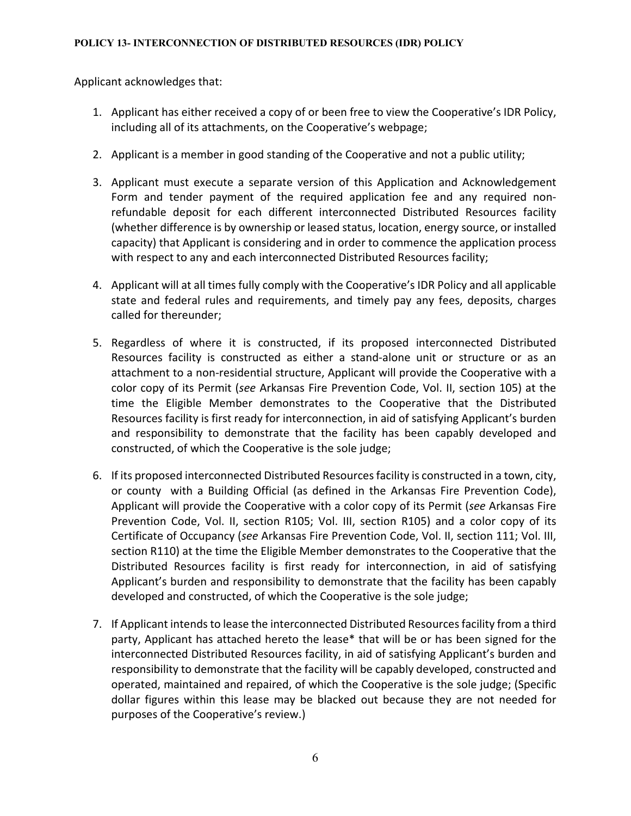Applicant acknowledges that:

- 1. Applicant has either received a copy of or been free to view the Cooperative's IDR Policy, including all of its attachments, on the Cooperative's webpage;
- 2. Applicant is a member in good standing of the Cooperative and not a public utility;
- 3. Applicant must execute a separate version of this Application and Acknowledgement Form and tender payment of the required application fee and any required nonrefundable deposit for each different interconnected Distributed Resources facility (whether difference is by ownership or leased status, location, energy source, or installed capacity) that Applicant is considering and in order to commence the application process with respect to any and each interconnected Distributed Resources facility;
- 4. Applicant will at all times fully comply with the Cooperative's IDR Policy and all applicable state and federal rules and requirements, and timely pay any fees, deposits, charges called for thereunder;
- 5. Regardless of where it is constructed, if its proposed interconnected Distributed Resources facility is constructed as either a stand-alone unit or structure or as an attachment to a non-residential structure, Applicant will provide the Cooperative with a color copy of its Permit (*see* Arkansas Fire Prevention Code, Vol. II, section 105) at the time the Eligible Member demonstrates to the Cooperative that the Distributed Resources facility is first ready for interconnection, in aid of satisfying Applicant's burden and responsibility to demonstrate that the facility has been capably developed and constructed, of which the Cooperative is the sole judge;
- 6. If its proposed interconnected Distributed Resources facility is constructed in a town, city, or county with a Building Official (as defined in the Arkansas Fire Prevention Code), Applicant will provide the Cooperative with a color copy of its Permit (*see* Arkansas Fire Prevention Code, Vol. II, section R105; Vol. III, section R105) and a color copy of its Certificate of Occupancy (*see* Arkansas Fire Prevention Code, Vol. II, section 111; Vol. III, section R110) at the time the Eligible Member demonstrates to the Cooperative that the Distributed Resources facility is first ready for interconnection, in aid of satisfying Applicant's burden and responsibility to demonstrate that the facility has been capably developed and constructed, of which the Cooperative is the sole judge;
- 7. If Applicant intends to lease the interconnected Distributed Resources facility from a third party, Applicant has attached hereto the lease\* that will be or has been signed for the interconnected Distributed Resources facility, in aid of satisfying Applicant's burden and responsibility to demonstrate that the facility will be capably developed, constructed and operated, maintained and repaired, of which the Cooperative is the sole judge; (Specific dollar figures within this lease may be blacked out because they are not needed for purposes of the Cooperative's review.)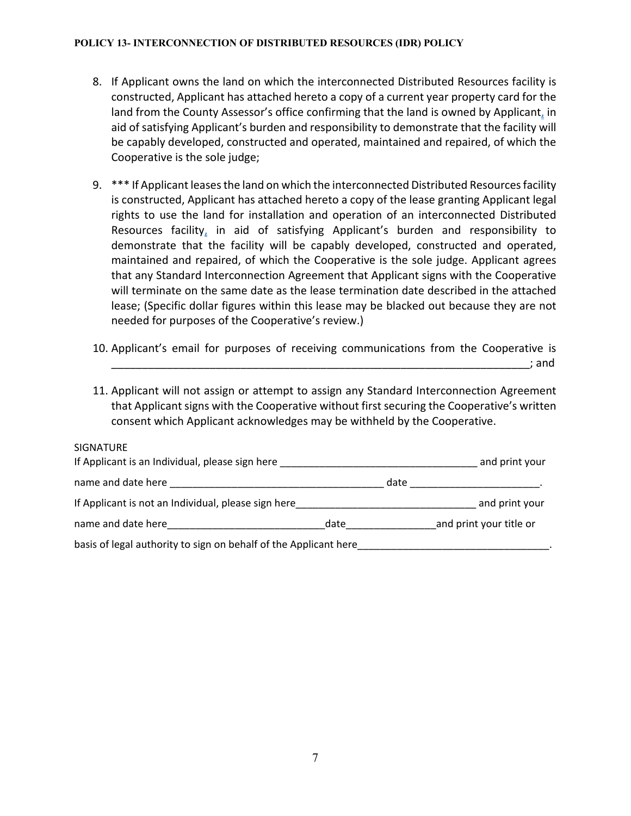- 8. If Applicant owns the land on which the interconnected Distributed Resources facility is constructed, Applicant has attached hereto a copy of a current year property card for the land from the County Assessor's office confirming that the land is owned by Applicant, in aid of satisfying Applicant's burden and responsibility to demonstrate that the facility will be capably developed, constructed and operated, maintained and repaired, of which the Cooperative is the sole judge;
- 9. \*\*\* If Applicant leases the land on which the interconnected Distributed Resources facility is constructed, Applicant has attached hereto a copy of the lease granting Applicant legal rights to use the land for installation and operation of an interconnected Distributed Resources facility, in aid of satisfying Applicant's burden and responsibility to demonstrate that the facility will be capably developed, constructed and operated, maintained and repaired, of which the Cooperative is the sole judge. Applicant agrees that any Standard Interconnection Agreement that Applicant signs with the Cooperative will terminate on the same date as the lease termination date described in the attached lease; (Specific dollar figures within this lease may be blacked out because they are not needed for purposes of the Cooperative's review.)
- 10. Applicant's email for purposes of receiving communications from the Cooperative is \_\_\_\_\_\_\_\_\_\_\_\_\_\_\_\_\_\_\_\_\_\_\_\_\_\_\_\_\_\_\_\_\_\_\_\_\_\_\_\_\_\_\_\_\_\_\_\_\_\_\_\_\_\_\_\_\_\_\_\_\_\_\_\_\_\_\_\_; and
- 11. Applicant will not assign or attempt to assign any Standard Interconnection Agreement that Applicant signs with the Cooperative without first securing the Cooperative's written consent which Applicant acknowledges may be withheld by the Cooperative.

| <b>SIGNATURE</b><br>If Applicant is an Individual, please sign here                                            |      |      | and print your          |
|----------------------------------------------------------------------------------------------------------------|------|------|-------------------------|
| name and date here all all the same and the same state in the same state of the same state of the same state o |      | date |                         |
| If Applicant is not an Individual, please sign here                                                            |      |      | and print your          |
| name and date here name and the same and the same of the same of the same of the same of the same of the same  | date |      | and print your title or |
| basis of legal authority to sign on behalf of the Applicant here                                               |      |      |                         |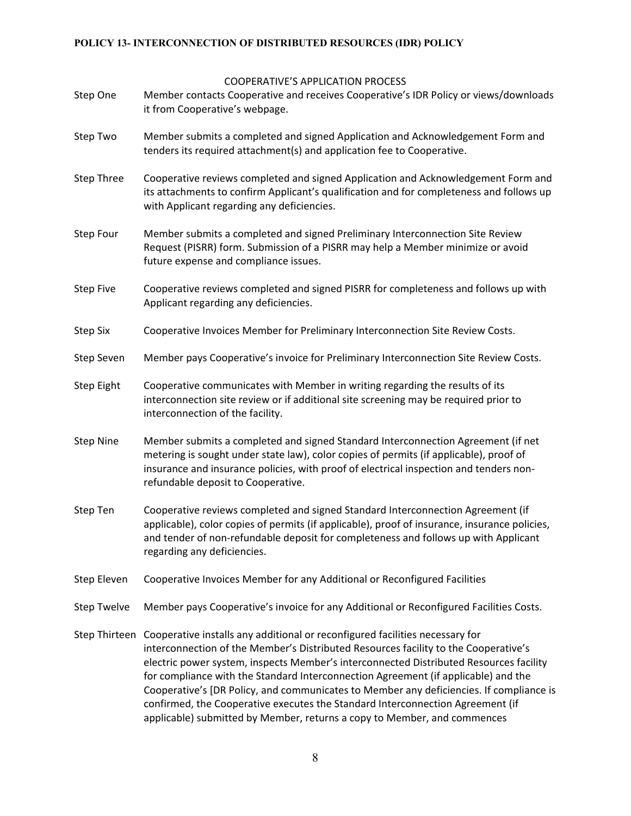COOPERATIVE'S APPLICATION PROCESS

- Step One Member contacts Cooperative and receives Cooperative's IDR Policy or views/downloads it from Cooperative's webpage.
- Step Two Member submits a completed and signed Application and Acknowledgement Form and tenders its required attachment(s) and application fee to Cooperative.
- Step Three Cooperative reviews completed and signed Application and Acknowledgement Form and its attachments to confirm Applicant's qualification and for completeness and follows up with Applicant regarding any deficiencies.
- Step Four Member submits a completed and signed Preliminary Interconnection Site Review Request (PISRR) form. Submission of a PISRR may help a Member minimize or avoid future expense and compliance issues.
- Step Five Cooperative reviews completed and signed PISRR for completeness and follows up with Applicant regarding any deficiencies.
- Step Six Cooperative Invoices Member for Preliminary Interconnection Site Review Costs.
- Step Seven Member pays Cooperative's invoice for Preliminary Interconnection Site Review Costs.
- Step Eight Cooperative communicates with Member in writing regarding the results of its interconnection site review or if additional site screening may be required prior to interconnection of the facility.
- Step Nine Member submits a completed and signed Standard Interconnection Agreement (if net metering is sought under state law), color copies of permits (if applicable), proof of insurance and insurance policies, with proof of electrical inspection and tenders nonrefundable deposit to Cooperative.
- Step Ten Cooperative reviews completed and signed Standard Interconnection Agreement (if applicable), color copies of permits (if applicable), proof of insurance, insurance policies, and tender of non-refundable deposit for completeness and follows up with Applicant regarding any deficiencies.
- Step Eleven Cooperative Invoices Member for any Additional or Reconfigured Facilities
- Step Twelve Member pays Cooperative's invoice for any Additional or Reconfigured Facilities Costs.
- Step Thirteen Cooperative installs any additional or reconfigured facilities necessary for interconnection of the Member's Distributed Resources facility to the Cooperative's electric power system, inspects Member's interconnected Distributed Resources facility for compliance with the Standard Interconnection Agreement (if applicable) and the Cooperative's [DR Policy, and communicates to Member any deficiencies. If compliance is confirmed, the Cooperative executes the Standard Interconnection Agreement (if applicable) submitted by Member, returns a copy to Member, and commences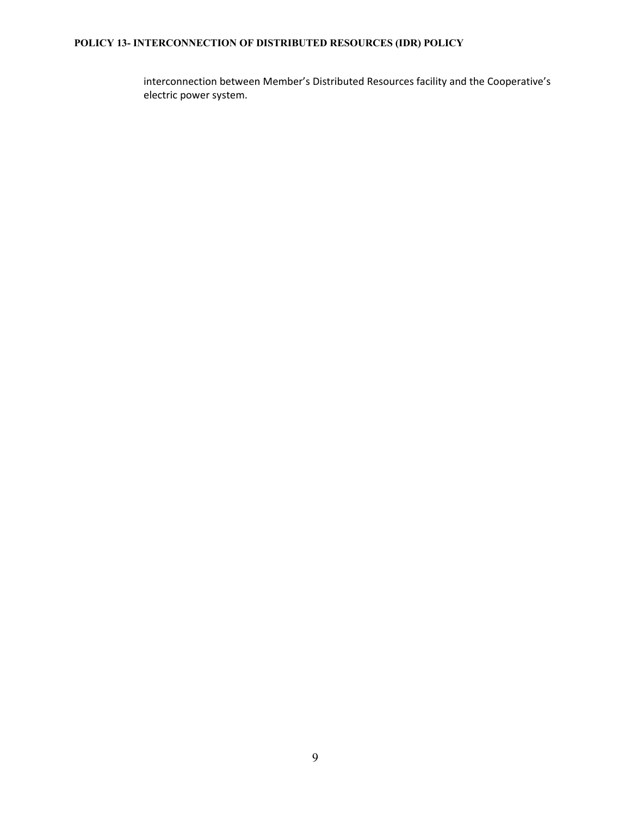interconnection between Member's Distributed Resources facility and the Cooperative's electric power system.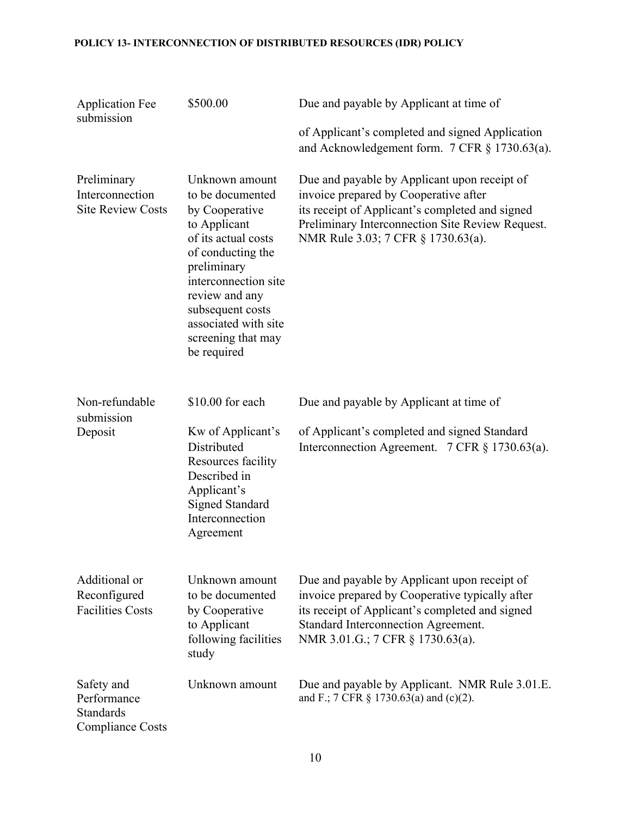| <b>Application Fee</b><br>submission                                     | \$500.00                                                                                                                                                                                                                                                   | Due and payable by Applicant at time of                                                                                                                                                                                            |
|--------------------------------------------------------------------------|------------------------------------------------------------------------------------------------------------------------------------------------------------------------------------------------------------------------------------------------------------|------------------------------------------------------------------------------------------------------------------------------------------------------------------------------------------------------------------------------------|
|                                                                          |                                                                                                                                                                                                                                                            | of Applicant's completed and signed Application<br>and Acknowledgement form. 7 CFR § 1730.63(a).                                                                                                                                   |
| Preliminary<br>Interconnection<br><b>Site Review Costs</b>               | Unknown amount<br>to be documented<br>by Cooperative<br>to Applicant<br>of its actual costs<br>of conducting the<br>preliminary<br>interconnection site<br>review and any<br>subsequent costs<br>associated with site<br>screening that may<br>be required | Due and payable by Applicant upon receipt of<br>invoice prepared by Cooperative after<br>its receipt of Applicant's completed and signed<br>Preliminary Interconnection Site Review Request.<br>NMR Rule 3.03; 7 CFR § 1730.63(a). |
| Non-refundable<br>submission                                             | \$10.00 for each                                                                                                                                                                                                                                           | Due and payable by Applicant at time of                                                                                                                                                                                            |
| Deposit                                                                  | Kw of Applicant's<br>Distributed<br>Resources facility<br>Described in<br>Applicant's<br><b>Signed Standard</b><br>Interconnection<br>Agreement                                                                                                            | of Applicant's completed and signed Standard<br>Interconnection Agreement. 7 CFR § 1730.63(a).                                                                                                                                     |
| Additional or<br>Reconfigured<br><b>Facilities Costs</b>                 | Unknown amount<br>to be documented<br>by Cooperative<br>to Applicant<br>following facilities<br>study                                                                                                                                                      | Due and payable by Applicant upon receipt of<br>invoice prepared by Cooperative typically after<br>its receipt of Applicant's completed and signed<br>Standard Interconnection Agreement.<br>NMR 3.01.G.; 7 CFR § 1730.63(a).      |
| Safety and<br>Performance<br><b>Standards</b><br><b>Compliance Costs</b> | Unknown amount                                                                                                                                                                                                                                             | Due and payable by Applicant. NMR Rule 3.01.E.<br>and F.; 7 CFR § 1730.63(a) and (c)(2).                                                                                                                                           |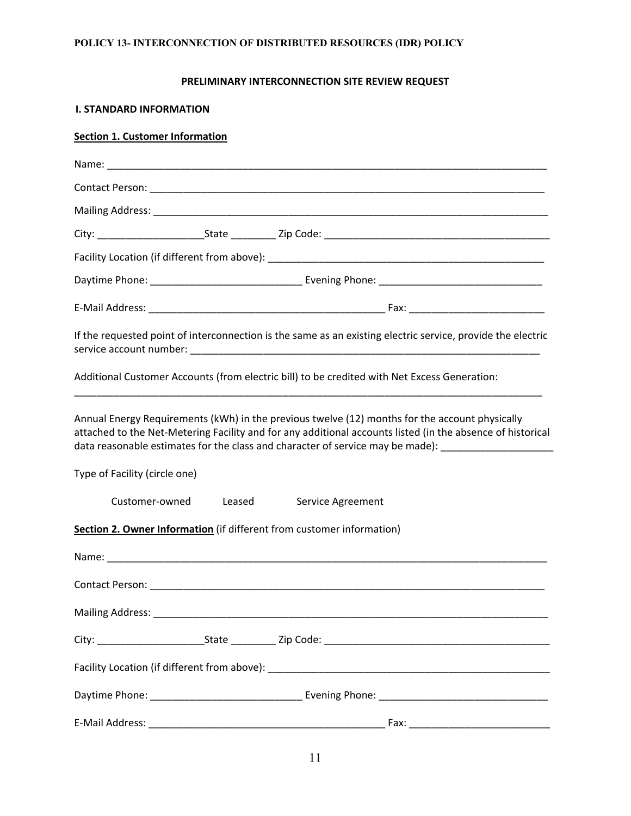### **PRELIMINARY INTERCONNECTION SITE REVIEW REQUEST**

#### **I. STANDARD INFORMATION**

## **Section 1. Customer Information**

|                               |                          | If the requested point of interconnection is the same as an existing electric service, provide the electric                                                                                                                                                                                                         |
|-------------------------------|--------------------------|---------------------------------------------------------------------------------------------------------------------------------------------------------------------------------------------------------------------------------------------------------------------------------------------------------------------|
|                               |                          | Additional Customer Accounts (from electric bill) to be credited with Net Excess Generation:                                                                                                                                                                                                                        |
|                               |                          | Annual Energy Requirements (kWh) in the previous twelve (12) months for the account physically<br>attached to the Net-Metering Facility and for any additional accounts listed (in the absence of historical<br>data reasonable estimates for the class and character of service may be made): ____________________ |
| Type of Facility (circle one) |                          |                                                                                                                                                                                                                                                                                                                     |
|                               | Customer-owned<br>Leased | Service Agreement                                                                                                                                                                                                                                                                                                   |
|                               |                          | Section 2. Owner Information (if different from customer information)                                                                                                                                                                                                                                               |
|                               |                          |                                                                                                                                                                                                                                                                                                                     |
|                               |                          |                                                                                                                                                                                                                                                                                                                     |
|                               |                          |                                                                                                                                                                                                                                                                                                                     |
|                               |                          |                                                                                                                                                                                                                                                                                                                     |
|                               |                          |                                                                                                                                                                                                                                                                                                                     |
|                               |                          |                                                                                                                                                                                                                                                                                                                     |
| E-Mail Address:               |                          |                                                                                                                                                                                                                                                                                                                     |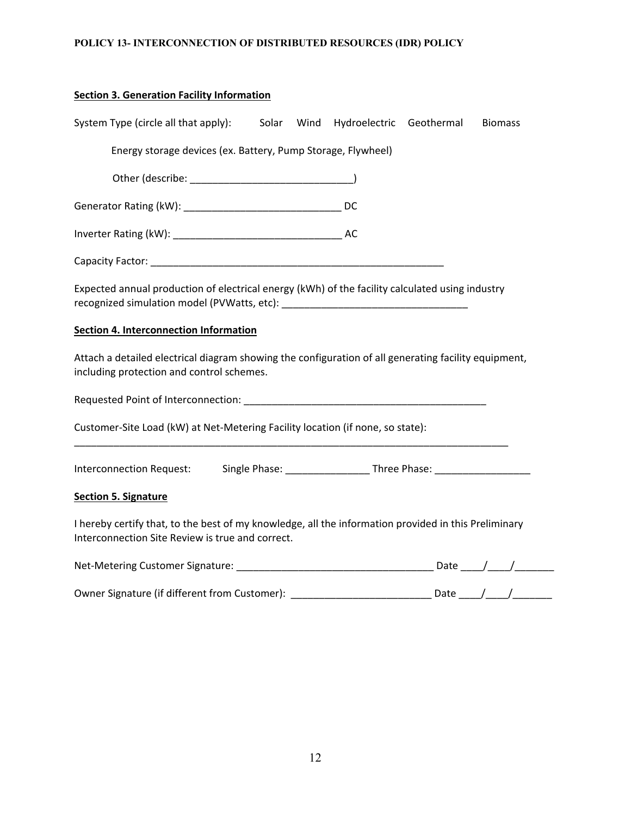| <b>Section 3. Generation Facility Information</b>                                                                                                        |  |                          |                |
|----------------------------------------------------------------------------------------------------------------------------------------------------------|--|--------------------------|----------------|
| System Type (circle all that apply): Solar Wind                                                                                                          |  | Hydroelectric Geothermal | <b>Biomass</b> |
| Energy storage devices (ex. Battery, Pump Storage, Flywheel)                                                                                             |  |                          |                |
|                                                                                                                                                          |  |                          |                |
|                                                                                                                                                          |  |                          |                |
|                                                                                                                                                          |  |                          |                |
|                                                                                                                                                          |  |                          |                |
| Expected annual production of electrical energy (kWh) of the facility calculated using industry                                                          |  |                          |                |
| <b>Section 4. Interconnection Information</b>                                                                                                            |  |                          |                |
| Attach a detailed electrical diagram showing the configuration of all generating facility equipment,<br>including protection and control schemes.        |  |                          |                |
|                                                                                                                                                          |  |                          |                |
| Customer-Site Load (kW) at Net-Metering Facility location (if none, so state):                                                                           |  |                          |                |
|                                                                                                                                                          |  |                          |                |
| <b>Section 5. Signature</b>                                                                                                                              |  |                          |                |
| I hereby certify that, to the best of my knowledge, all the information provided in this Preliminary<br>Interconnection Site Review is true and correct. |  |                          |                |

| Net-Metering Customer Signature:              | Date |  |
|-----------------------------------------------|------|--|
|                                               |      |  |
| Owner Signature (if different from Customer): | Date |  |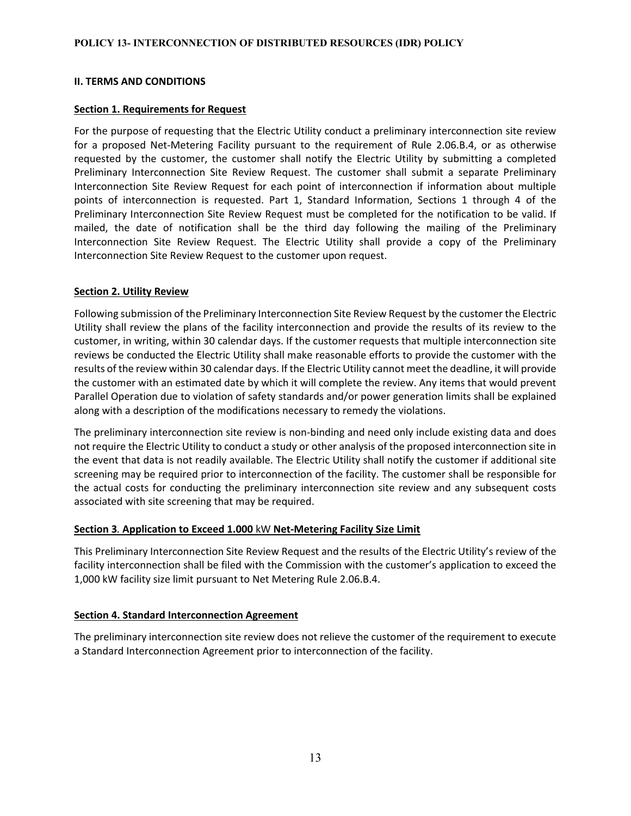### **II. TERMS AND CONDITIONS**

#### **Section 1. Requirements for Request**

For the purpose of requesting that the Electric Utility conduct a preliminary interconnection site review for a proposed Net-Metering Facility pursuant to the requirement of Rule 2.06.B.4, or as otherwise requested by the customer, the customer shall notify the Electric Utility by submitting a completed Preliminary Interconnection Site Review Request. The customer shall submit a separate Preliminary Interconnection Site Review Request for each point of interconnection if information about multiple points of interconnection is requested. Part 1, Standard Information, Sections 1 through 4 of the Preliminary Interconnection Site Review Request must be completed for the notification to be valid. If mailed, the date of notification shall be the third day following the mailing of the Preliminary Interconnection Site Review Request. The Electric Utility shall provide a copy of the Preliminary Interconnection Site Review Request to the customer upon request.

#### **Section 2. Utility Review**

Following submission of the Preliminary Interconnection Site Review Request by the customer the Electric Utility shall review the plans of the facility interconnection and provide the results of its review to the customer, in writing, within 30 calendar days. If the customer requests that multiple interconnection site reviews be conducted the Electric Utility shall make reasonable efforts to provide the customer with the results of the review within 30 calendar days. If the Electric Utility cannot meet the deadline, it will provide the customer with an estimated date by which it will complete the review. Any items that would prevent Parallel Operation due to violation of safety standards and/or power generation limits shall be explained along with a description of the modifications necessary to remedy the violations.

The preliminary interconnection site review is non-binding and need only include existing data and does not require the Electric Utility to conduct a study or other analysis of the proposed interconnection site in the event that data is not readily available. The Electric Utility shall notify the customer if additional site screening may be required prior to interconnection of the facility. The customer shall be responsible for the actual costs for conducting the preliminary interconnection site review and any subsequent costs associated with site screening that may be required.

### **Section 3***.* **Application to Exceed 1.000** kW **Net-Metering Facility Size Limit**

This Preliminary Interconnection Site Review Request and the results of the Electric Utility's review of the facility interconnection shall be filed with the Commission with the customer's application to exceed the 1,000 kW facility size limit pursuant to Net Metering Rule 2.06.B.4.

#### **Section 4. Standard Interconnection Agreement**

The preliminary interconnection site review does not relieve the customer of the requirement to execute a Standard Interconnection Agreement prior to interconnection of the facility.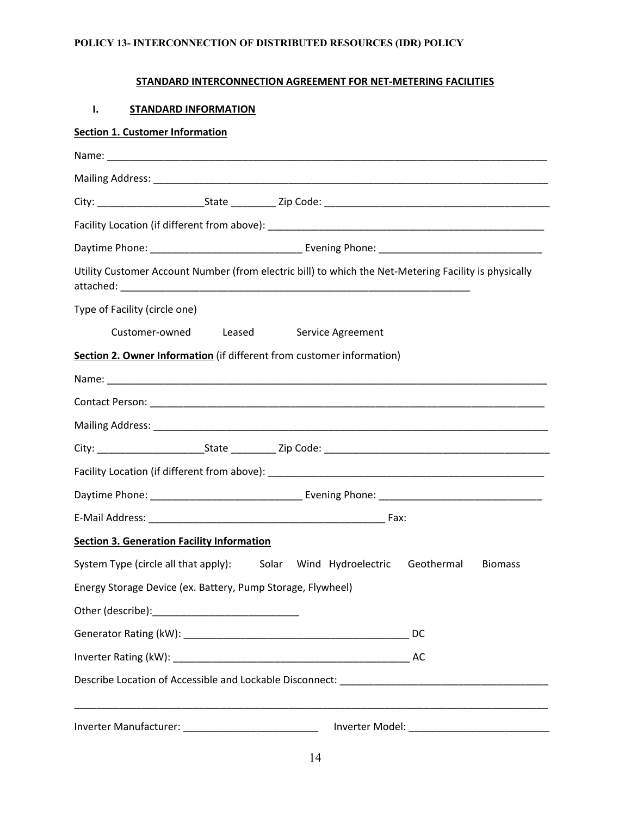# **STANDARD INTERCONNECTION AGREEMENT FOR NET-METERING FACILITIES**

### **I. STANDARD INFORMATION**

### **Section 1. Customer Information**

| Utility Customer Account Number (from electric bill) to which the Net-Metering Facility is physically |  |  |                |
|-------------------------------------------------------------------------------------------------------|--|--|----------------|
| Type of Facility (circle one)                                                                         |  |  |                |
| Customer-owned Leased Service Agreement                                                               |  |  |                |
| Section 2. Owner Information (if different from customer information)                                 |  |  |                |
|                                                                                                       |  |  |                |
|                                                                                                       |  |  |                |
|                                                                                                       |  |  |                |
|                                                                                                       |  |  |                |
|                                                                                                       |  |  |                |
|                                                                                                       |  |  |                |
|                                                                                                       |  |  |                |
| <b>Section 3. Generation Facility Information</b>                                                     |  |  |                |
| System Type (circle all that apply): Solar Wind Hydroelectric Geothermal                              |  |  | <b>Biomass</b> |
| Energy Storage Device (ex. Battery, Pump Storage, Flywheel)                                           |  |  |                |
| Other (describe):                                                                                     |  |  |                |
|                                                                                                       |  |  |                |
|                                                                                                       |  |  |                |
|                                                                                                       |  |  |                |
|                                                                                                       |  |  |                |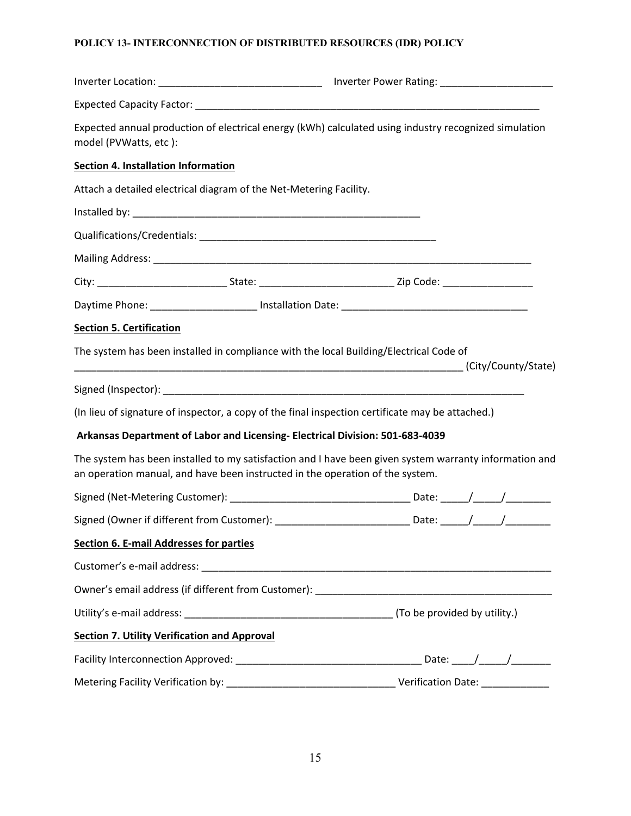| Expected annual production of electrical energy (kWh) calculated using industry recognized simulation<br>model (PVWatts, etc):                                                          |  |  |  |
|-----------------------------------------------------------------------------------------------------------------------------------------------------------------------------------------|--|--|--|
| <b>Section 4. Installation Information</b>                                                                                                                                              |  |  |  |
| Attach a detailed electrical diagram of the Net-Metering Facility.                                                                                                                      |  |  |  |
|                                                                                                                                                                                         |  |  |  |
|                                                                                                                                                                                         |  |  |  |
|                                                                                                                                                                                         |  |  |  |
| City: __________________________________State: _________________________________Zip Code: ____________________                                                                          |  |  |  |
|                                                                                                                                                                                         |  |  |  |
| <b>Section 5. Certification</b>                                                                                                                                                         |  |  |  |
| The system has been installed in compliance with the local Building/Electrical Code of                                                                                                  |  |  |  |
|                                                                                                                                                                                         |  |  |  |
| (In lieu of signature of inspector, a copy of the final inspection certificate may be attached.)                                                                                        |  |  |  |
| Arkansas Department of Labor and Licensing- Electrical Division: 501-683-4039                                                                                                           |  |  |  |
| The system has been installed to my satisfaction and I have been given system warranty information and<br>an operation manual, and have been instructed in the operation of the system. |  |  |  |
|                                                                                                                                                                                         |  |  |  |
| Signed (Owner if different from Customer): ______________________________Date: _____/_____/_________                                                                                    |  |  |  |
| <b>Section 6. E-mail Addresses for parties</b>                                                                                                                                          |  |  |  |
|                                                                                                                                                                                         |  |  |  |
|                                                                                                                                                                                         |  |  |  |
|                                                                                                                                                                                         |  |  |  |
| <b>Section 7. Utility Verification and Approval</b>                                                                                                                                     |  |  |  |
|                                                                                                                                                                                         |  |  |  |
|                                                                                                                                                                                         |  |  |  |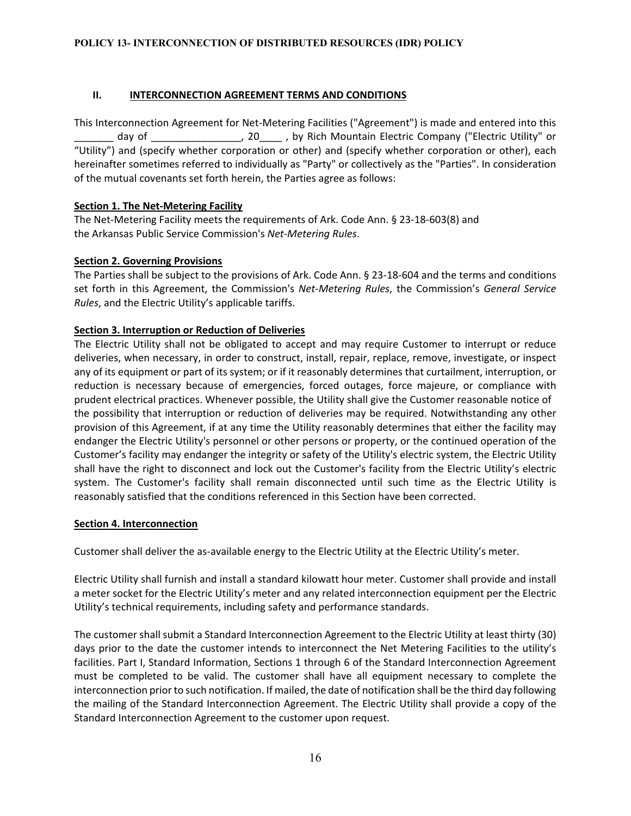## **II. INTERCONNECTION AGREEMENT TERMS AND CONDITIONS**

This Interconnection Agreement for Net-Metering Facilities ("Agreement") is made and entered into this day of \_\_\_\_\_\_\_\_\_\_\_\_\_\_\_\_, 20\_\_\_\_\_, by Rich Mountain Electric Company ("Electric Utility" or "Utility") and (specify whether corporation or other) and (specify whether corporation or other), each hereinafter sometimes referred to individually as "Party" or collectively as the "Parties". In consideration of the mutual covenants set forth herein, the Parties agree as follows:

## **Section 1. The Net-Metering Facility**

The Net-Metering Facility meets the requirements of Ark. Code Ann. § 23-18-603(8) and the Arkansas Public Service Commission's *Net-Metering Rules*.

## **Section 2. Governing Provisions**

The Parties shall be subject to the provisions of Ark. Code Ann. § 23-18-604 and the terms and conditions set forth in this Agreement, the Commission's *Net-Metering Rules*, the Commission's *General Service Rules*, and the Electric Utility's applicable tariffs.

## **Section 3. Interruption or Reduction of Deliveries**

The Electric Utility shall not be obligated to accept and may require Customer to interrupt or reduce deliveries, when necessary, in order to construct, install, repair, replace, remove, investigate, or inspect any of its equipment or part of its system; or if it reasonably determines that curtailment, interruption, or reduction is necessary because of emergencies, forced outages, force majeure, or compliance with prudent electrical practices. Whenever possible, the Utility shall give the Customer reasonable notice of the possibility that interruption or reduction of deliveries may be required. Notwithstanding any other provision of this Agreement, if at any time the Utility reasonably determines that either the facility may endanger the Electric Utility's personnel or other persons or property, or the continued operation of the Customer's facility may endanger the integrity or safety of the Utility's electric system, the Electric Utility shall have the right to disconnect and lock out the Customer's facility from the Electric Utility's electric system. The Customer's facility shall remain disconnected until such time as the Electric Utility is reasonably satisfied that the conditions referenced in this Section have been corrected.

### **Section 4. Interconnection**

Customer shall deliver the as-available energy to the Electric Utility at the Electric Utility's meter.

Electric Utility shall furnish and install a standard kilowatt hour meter. Customer shall provide and install a meter socket for the Electric Utility's meter and any related interconnection equipment per the Electric Utility's technical requirements, including safety and performance standards.

The customer shall submit a Standard Interconnection Agreement to the Electric Utility at least thirty (30) days prior to the date the customer intends to interconnect the Net Metering Facilities to the utility's facilities. Part I, Standard Information, Sections 1 through 6 of the Standard Interconnection Agreement must be completed to be valid. The customer shall have all equipment necessary to complete the interconnection prior to such notification. If mailed, the date of notification shall be the third day following the mailing of the Standard Interconnection Agreement. The Electric Utility shall provide a copy of the Standard Interconnection Agreement to the customer upon request.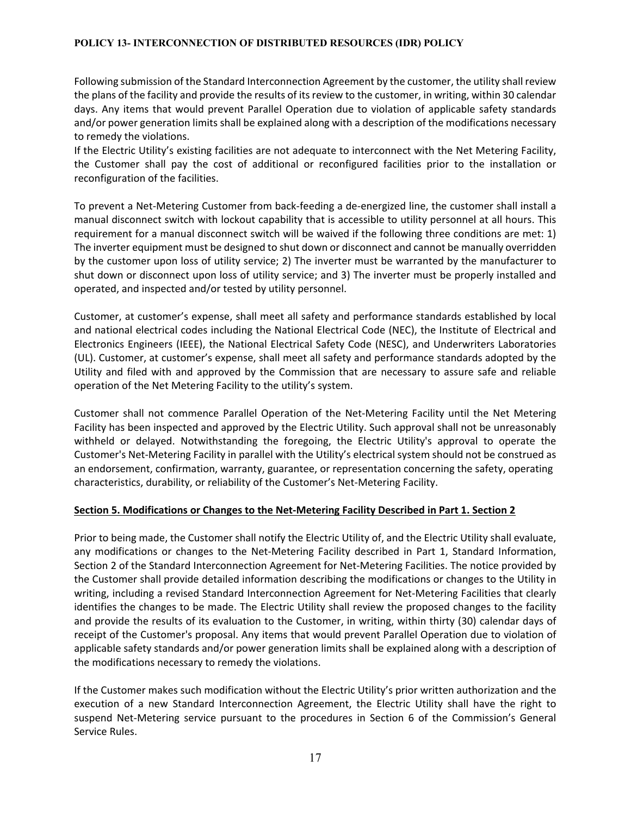Following submission of the Standard Interconnection Agreement by the customer, the utility shall review the plans of the facility and provide the results of its review to the customer, in writing, within 30 calendar days. Any items that would prevent Parallel Operation due to violation of applicable safety standards and/or power generation limits shall be explained along with a description of the modifications necessary to remedy the violations.

If the Electric Utility's existing facilities are not adequate to interconnect with the Net Metering Facility, the Customer shall pay the cost of additional or reconfigured facilities prior to the installation or reconfiguration of the facilities.

To prevent a Net-Metering Customer from back-feeding a de-energized line, the customer shall install a manual disconnect switch with lockout capability that is accessible to utility personnel at all hours. This requirement for a manual disconnect switch will be waived if the following three conditions are met: 1) The inverter equipment must be designed to shut down or disconnect and cannot be manually overridden by the customer upon loss of utility service; 2) The inverter must be warranted by the manufacturer to shut down or disconnect upon loss of utility service; and 3) The inverter must be properly installed and operated, and inspected and/or tested by utility personnel.

Customer, at customer's expense, shall meet all safety and performance standards established by local and national electrical codes including the National Electrical Code (NEC), the Institute of Electrical and Electronics Engineers (IEEE), the National Electrical Safety Code (NESC), and Underwriters Laboratories (UL). Customer, at customer's expense, shall meet all safety and performance standards adopted by the Utility and filed with and approved by the Commission that are necessary to assure safe and reliable operation of the Net Metering Facility to the utility's system.

Customer shall not commence Parallel Operation of the Net-Metering Facility until the Net Metering Facility has been inspected and approved by the Electric Utility. Such approval shall not be unreasonably withheld or delayed. Notwithstanding the foregoing, the Electric Utility's approval to operate the Customer's Net-Metering Facility in parallel with the Utility's electrical system should not be construed as an endorsement, confirmation, warranty, guarantee, or representation concerning the safety, operating characteristics, durability, or reliability of the Customer's Net-Metering Facility.

### **Section 5. Modifications or Changes to the Net-Metering Facility Described in Part 1. Section 2**

Prior to being made, the Customer shall notify the Electric Utility of, and the Electric Utility shall evaluate, any modifications or changes to the Net-Metering Facility described in Part 1, Standard Information, Section 2 of the Standard Interconnection Agreement for Net-Metering Facilities. The notice provided by the Customer shall provide detailed information describing the modifications or changes to the Utility in writing, including a revised Standard Interconnection Agreement for Net-Metering Facilities that clearly identifies the changes to be made. The Electric Utility shall review the proposed changes to the facility and provide the results of its evaluation to the Customer, in writing, within thirty (30) calendar days of receipt of the Customer's proposal. Any items that would prevent Parallel Operation due to violation of applicable safety standards and/or power generation limits shall be explained along with a description of the modifications necessary to remedy the violations.

If the Customer makes such modification without the Electric Utility's prior written authorization and the execution of a new Standard Interconnection Agreement, the Electric Utility shall have the right to suspend Net-Metering service pursuant to the procedures in Section 6 of the Commission's General Service Rules.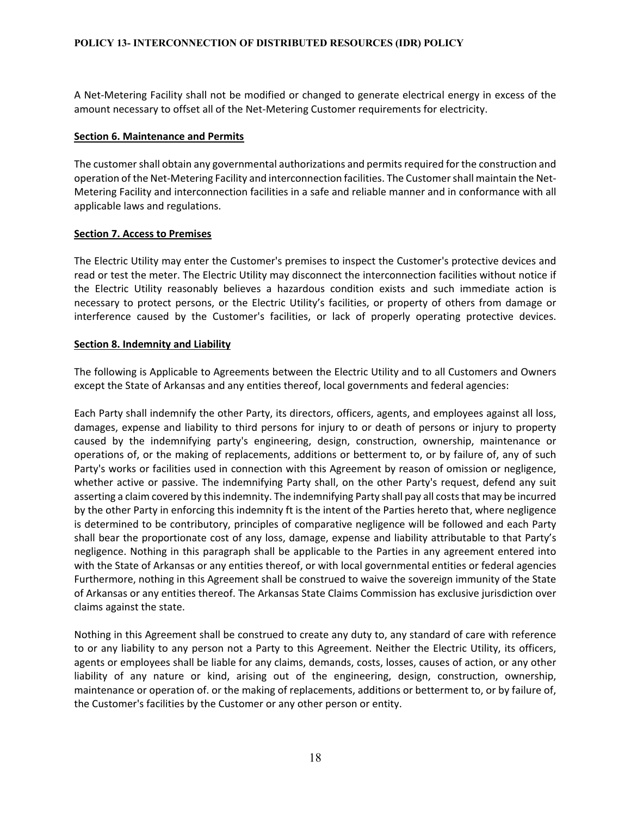A Net-Metering Facility shall not be modified or changed to generate electrical energy in excess of the amount necessary to offset all of the Net-Metering Customer requirements for electricity.

#### **Section 6. Maintenance and Permits**

The customer shall obtain any governmental authorizations and permits required for the construction and operation of the Net-Metering Facility and interconnection facilities. The Customer shall maintain the Net-Metering Facility and interconnection facilities in a safe and reliable manner and in conformance with all applicable laws and regulations.

### **Section 7. Access to Premises**

The Electric Utility may enter the Customer's premises to inspect the Customer's protective devices and read or test the meter. The Electric Utility may disconnect the interconnection facilities without notice if the Electric Utility reasonably believes a hazardous condition exists and such immediate action is necessary to protect persons, or the Electric Utility's facilities, or property of others from damage or interference caused by the Customer's facilities, or lack of properly operating protective devices.

#### **Section 8. Indemnity and Liability**

The following is Applicable to Agreements between the Electric Utility and to all Customers and Owners except the State of Arkansas and any entities thereof, local governments and federal agencies:

Each Party shall indemnify the other Party, its directors, officers, agents, and employees against all loss, damages, expense and liability to third persons for injury to or death of persons or injury to property caused by the indemnifying party's engineering, design, construction, ownership, maintenance or operations of, or the making of replacements, additions or betterment to, or by failure of, any of such Party's works or facilities used in connection with this Agreement by reason of omission or negligence, whether active or passive. The indemnifying Party shall, on the other Party's request, defend any suit asserting a claim covered by this indemnity. The indemnifying Party shall pay all costs that may be incurred by the other Party in enforcing this indemnity ft is the intent of the Parties hereto that, where negligence is determined to be contributory, principles of comparative negligence will be followed and each Party shall bear the proportionate cost of any loss, damage, expense and liability attributable to that Party's negligence. Nothing in this paragraph shall be applicable to the Parties in any agreement entered into with the State of Arkansas or any entities thereof, or with local governmental entities or federal agencies Furthermore, nothing in this Agreement shall be construed to waive the sovereign immunity of the State of Arkansas or any entities thereof. The Arkansas State Claims Commission has exclusive jurisdiction over claims against the state.

Nothing in this Agreement shall be construed to create any duty to, any standard of care with reference to or any liability to any person not a Party to this Agreement. Neither the Electric Utility, its officers, agents or employees shall be liable for any claims, demands, costs, losses, causes of action, or any other liability of any nature or kind, arising out of the engineering, design, construction, ownership, maintenance or operation of. or the making of replacements, additions or betterment to, or by failure of, the Customer's facilities by the Customer or any other person or entity.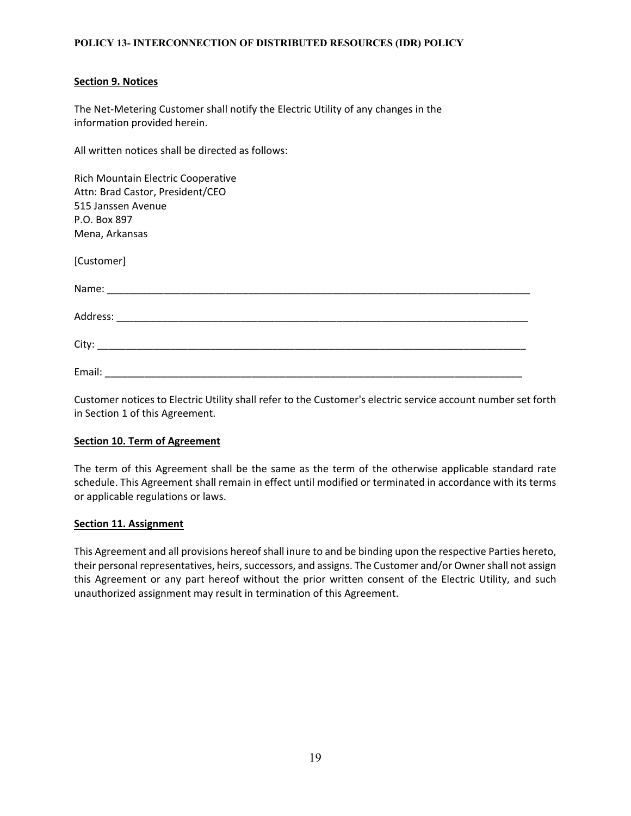#### **Section 9. Notices**

The Net-Metering Customer shall notify the Electric Utility of any changes in the information provided herein.

All written notices shall be directed as follows:

| Rich Mountain Electric Cooperative |  |
|------------------------------------|--|
| Attn: Brad Castor, President/CEO   |  |
| 515 Janssen Avenue                 |  |
| P.O. Box 897                       |  |
| Mena, Arkansas                     |  |
| [Customer]                         |  |
|                                    |  |
|                                    |  |
|                                    |  |
|                                    |  |

Customer notices to Electric Utility shall refer to the Customer's electric service account number set forth in Section 1 of this Agreement.

#### **Section 10. Term of Agreement**

The term of this Agreement shall be the same as the term of the otherwise applicable standard rate schedule. This Agreement shall remain in effect until modified or terminated in accordance with its terms or applicable regulations or laws.

### **Section 11. Assignment**

This Agreement and all provisions hereof shall inure to and be binding upon the respective Parties hereto, their personal representatives, heirs, successors, and assigns. The Customer and/or Owner shall not assign this Agreement or any part hereof without the prior written consent of the Electric Utility, and such unauthorized assignment may result in termination of this Agreement.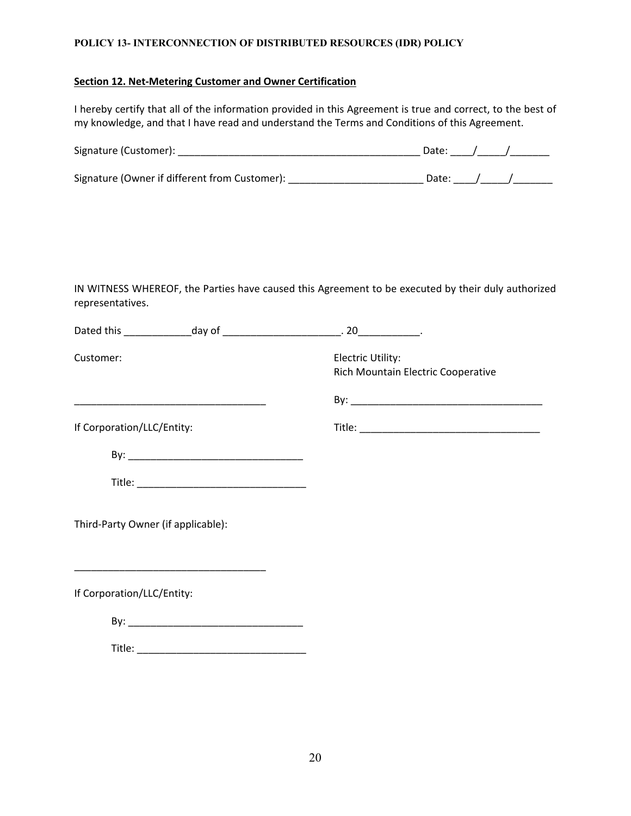#### **Section 12. Net-Metering Customer and Owner Certification**

I hereby certify that all of the information provided in this Agreement is true and correct, to the best of my knowledge, and that I have read and understand the Terms and Conditions of this Agreement.

| Signature (Customer):                         | Date: |  |
|-----------------------------------------------|-------|--|
| Signature (Owner if different from Customer): | Date: |  |

IN WITNESS WHEREOF, the Parties have caused this Agreement to be executed by their duly authorized representatives.

| Customer:                          |                                                                   | Electric Utility:<br>Rich Mountain Electric Cooperative |
|------------------------------------|-------------------------------------------------------------------|---------------------------------------------------------|
|                                    | <u> 1980 - Johann John Stone, mars eta biztanleria (h. 1980).</u> |                                                         |
| If Corporation/LLC/Entity:         |                                                                   |                                                         |
|                                    |                                                                   |                                                         |
|                                    |                                                                   |                                                         |
| Third-Party Owner (if applicable): |                                                                   |                                                         |
| If Corporation/LLC/Entity:         | <u> 1989 - Johann John Stone, mars et al. (1989)</u>              |                                                         |
|                                    |                                                                   |                                                         |
|                                    |                                                                   |                                                         |
|                                    |                                                                   |                                                         |